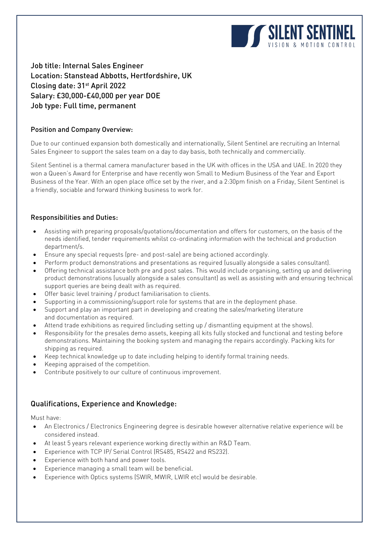

Job title: Internal Sales Engineer Location: Stanstead Abbotts, Hertfordshire, UK Closing date: 31st April 2022 Salary: £30,000-£40,000 per year DOE Job type: Full time, permanent

#### Position and Company Overview:

Due to our continued expansion both domestically and internationally, Silent Sentinel are recruiting an Internal Sales Engineer to support the sales team on a day to day basis, both technically and commercially.

Silent Sentinel is a thermal camera manufacturer based in the UK with offices in the USA and UAE. In 2020 they won a Queen's Award for Enterprise and have recently won Small to Medium Business of the Year and Export Business of the Year. With an open place office set by the river, and a 2:30pm finish on a Friday, Silent Sentinel is a friendly, sociable and forward thinking business to work for.

#### Responsibilities and Duties:

- Assisting with preparing proposals/quotations/documentation and offers for customers, on the basis of the needs identified, tender requirements whilst co-ordinating information with the technical and production department/s.
- Ensure any special requests (pre- and post-sale) are being actioned accordingly.
- Perform product demonstrations and presentations as required (usually alongside a sales consultant).
- Offering technical assistance both pre and post sales. This would include organising, setting up and delivering product demonstrations (usually alongside a sales consultant) as well as assisting with and ensuring technical support queries are being dealt with as required.
- Offer basic level training / product familiarisation to clients.
- Supporting in a commissioning/support role for systems that are in the deployment phase.
- Support and play an important part in developing and creating the sales/marketing literature and documentation as required.
- Attend trade exhibitions as required (including setting up / dismantling equipment at the shows).
- Responsibility for the presales demo assets, keeping all kits fully stocked and functional and testing before demonstrations. Maintaining the booking system and managing the repairs accordingly. Packing kits for shipping as required.
- Keep technical knowledge up to date including helping to identify formal training needs.
- Keeping appraised of the competition.
- Contribute positively to our culture of continuous improvement.

## Qualifications, Experience and Knowledge:

Must have:

- An Electronics / Electronics Engineering degree is desirable however alternative relative experience will be considered instead.
- At least 5 years relevant experience working directly within an R&D Team.
- Experience with TCP IP/ Serial Control (RS485, RS422 and RS232).
- Experience with both hand and power tools.
- Experience managing a small team will be beneficial.
- Experience with Optics systems (SWIR, MWIR, LWIR etc) would be desirable.